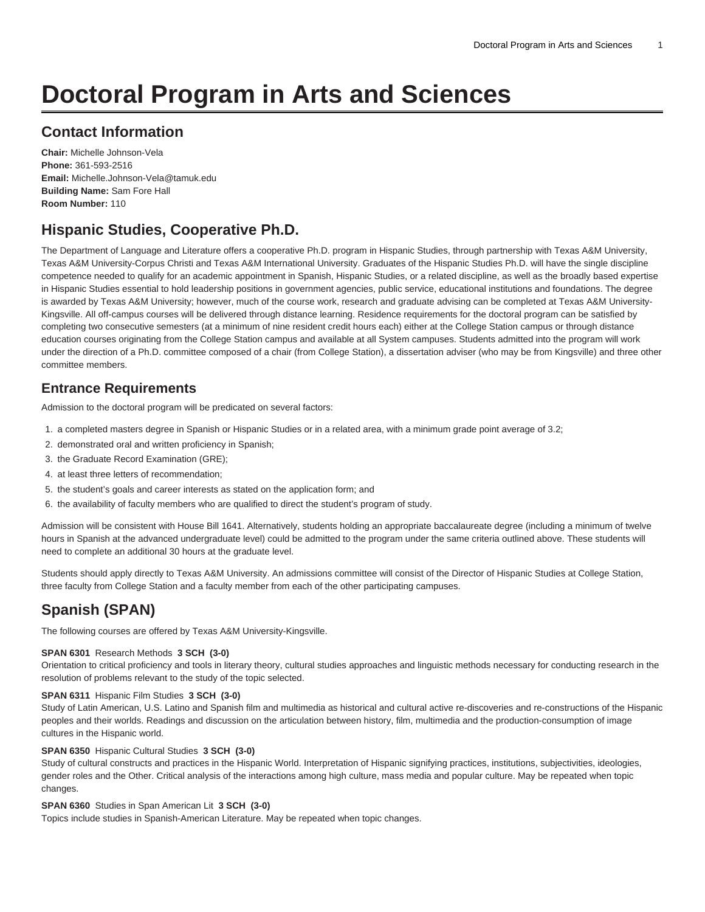# **Doctoral Program in Arts and Sciences**

### **Contact Information**

**Chair:** Michelle Johnson-Vela **Phone:** 361-593-2516 **Email:** [Michelle.Johnson-Vela@tamuk.edu](mailto:Michelle.Johnson-Vela@tamuk.edu) **Building Name:** Sam Fore Hall **Room Number:** 110

## **Hispanic Studies, Cooperative Ph.D.**

The Department of Language and Literature offers a cooperative Ph.D. program in Hispanic Studies, through partnership with Texas A&M University, Texas A&M University-Corpus Christi and Texas A&M International University. Graduates of the Hispanic Studies Ph.D. will have the single discipline competence needed to qualify for an academic appointment in Spanish, Hispanic Studies, or a related discipline, as well as the broadly based expertise in Hispanic Studies essential to hold leadership positions in government agencies, public service, educational institutions and foundations. The degree is awarded by Texas A&M University; however, much of the course work, research and graduate advising can be completed at Texas A&M University-Kingsville. All off-campus courses will be delivered through distance learning. Residence requirements for the doctoral program can be satisfied by completing two consecutive semesters (at a minimum of nine resident credit hours each) either at the College Station campus or through distance education courses originating from the College Station campus and available at all System campuses. Students admitted into the program will work under the direction of a Ph.D. committee composed of a chair (from College Station), a dissertation adviser (who may be from Kingsville) and three other committee members.

### **Entrance Requirements**

Admission to the doctoral program will be predicated on several factors:

- 1. a completed masters degree in Spanish or Hispanic Studies or in a related area, with a minimum grade point average of 3.2;
- 2. demonstrated oral and written proficiency in Spanish;
- 3. the Graduate Record Examination (GRE);
- 4. at least three letters of recommendation;
- 5. the student's goals and career interests as stated on the application form; and
- 6. the availability of faculty members who are qualified to direct the student's program of study.

Admission will be consistent with House Bill 1641. Alternatively, students holding an appropriate baccalaureate degree (including a minimum of twelve hours in Spanish at the advanced undergraduate level) could be admitted to the program under the same criteria outlined above. These students will need to complete an additional 30 hours at the graduate level.

Students should apply directly to Texas A&M University. An admissions committee will consist of the Director of Hispanic Studies at College Station, three faculty from College Station and a faculty member from each of the other participating campuses.

# **Spanish (SPAN)**

The following courses are offered by Texas A&M University-Kingsville.

#### **SPAN 6301** Research Methods **3 SCH (3-0)**

Orientation to critical proficiency and tools in literary theory, cultural studies approaches and linguistic methods necessary for conducting research in the resolution of problems relevant to the study of the topic selected.

#### **SPAN 6311** Hispanic Film Studies **3 SCH (3-0)**

Study of Latin American, U.S. Latino and Spanish film and multimedia as historical and cultural active re-discoveries and re-constructions of the Hispanic peoples and their worlds. Readings and discussion on the articulation between history, film, multimedia and the production-consumption of image cultures in the Hispanic world.

#### **SPAN 6350** Hispanic Cultural Studies **3 SCH (3-0)**

Study of cultural constructs and practices in the Hispanic World. Interpretation of Hispanic signifying practices, institutions, subjectivities, ideologies, gender roles and the Other. Critical analysis of the interactions among high culture, mass media and popular culture. May be repeated when topic changes.

#### **SPAN 6360** Studies in Span American Lit **3 SCH (3-0)**

Topics include studies in Spanish-American Literature. May be repeated when topic changes.